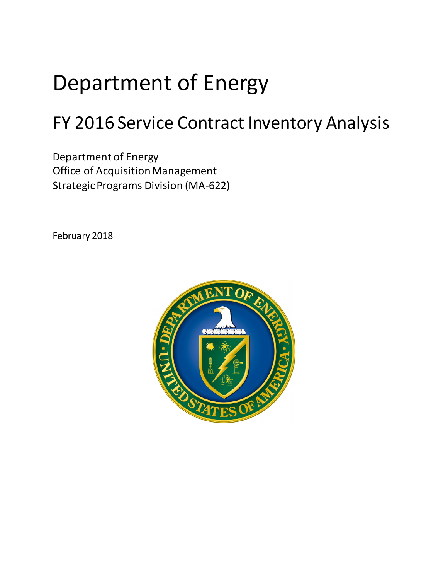# Department of Energy

## FY 2016 Service Contract Inventory Analysis

Department of Energy Office of Acquisition Management Strategic Programs Division (MA-622)

February 2018

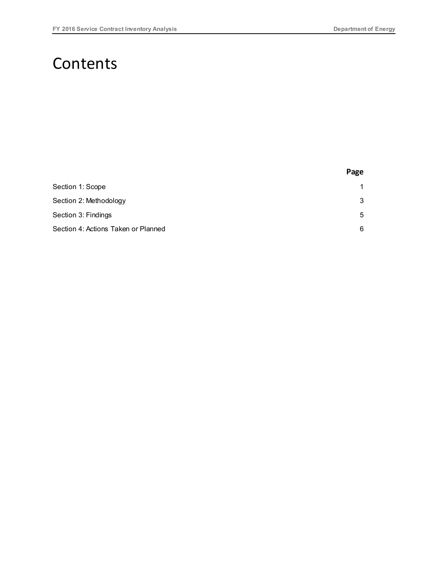### **Contents**

|                                     | Page |
|-------------------------------------|------|
| Section 1: Scope                    | 1    |
| Section 2: Methodology              | 3    |
| Section 3: Findings                 | 5    |
| Section 4: Actions Taken or Planned | 6    |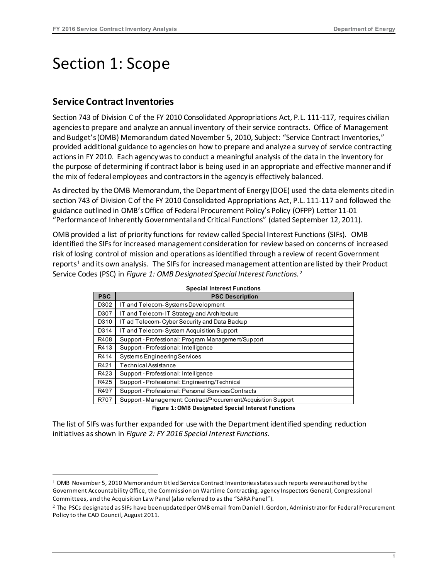### <span id="page-2-0"></span>Section 1: Scope

#### **Service Contract Inventories**

Section 743 of Division C of the FY 2010 Consolidated Appropriations Act, P.L. 111-117, requires civilian agencies to prepare and analyze an annual inventory of their service contracts. Office of Management and Budget's (OMB) Memorandum dated November 5, 2010, Subject: "Service Contract Inventories," provided additional guidance to agencies on how to prepare and analyze a survey of service contracting actions in FY 2010. Each agency was to conduct a meaningful analysis of the data in the inventory for the purpose of determining if contract labor is being used in an appropriate and effective manner and if the mix of federal employees and contractors in the agency is effectively balanced.

As directed by the OMB Memorandum, the Department of Energy (DOE) used the data elements cited in section 743 of Division C of the FY 2010 Consolidated Appropriations Act, P.L. 111-117 and followed the guidance outlined in OMB's Office of Federal Procurement Policy's Policy (OFPP) Letter 11-01 "Performance of Inherently Governmental and Critical Functions" (dated September 12, 2011).

OMB provided a list of priority functions for review called Special Interest Functions (SIFs). OMB identified the SIFs for increased management consideration for review based on concerns of increased risk of losing control of mission and operations as identified through a review of recent Government reports<sup>[1](#page-2-1)</sup> and its own analysis. The SIFs for increased management attention are listed by their Product Service Codes (PSC) in *Figure 1: OMB Designated Special Interest Functions*. [2](#page-2-2)

| <b>PSC</b> | <b>PSC Description</b>                                         |
|------------|----------------------------------------------------------------|
| D302       | IT and Telecom-Systems Development                             |
| D307       | IT and Telecom-IT Strategy and Architecture                    |
| D310       | IT ad Telecom-Cyber Security and Data Backup                   |
| D314       | IT and Telecom-System Acquisition Support                      |
| R408       | Support - Professional: Program Management/Support             |
| R413       | Support - Professional: Intelligence                           |
| R414       | <b>Systems Engineering Services</b>                            |
| R421       | <b>Technical Assistance</b>                                    |
| R423       | Support - Professional: Intelligence                           |
| R425       | Support - Professional: Engineering/Technical                  |
| R497       | Support - Professional: Personal Services Contracts            |
| R707       | Support - Management: Contract/Procurement/Acquisition Support |

**Figure 1: OMB Designated Special Interest Functions**

The list of SIFs was further expanded for use with the Department identified spending reduction initiatives as shown in *Figure 2: FY 2016 Special Interest Functions*.

<span id="page-2-1"></span> <sup>1</sup> OMB November 5, 2010 Memorandum titled Service Contract Inventories states such reports were authored by the Government Accountability Office, the Commission on Wartime Contracting, agency Inspectors General, Congressional Committees, and the Acquisition Law Panel (also referred to as the "SARA Panel").

<span id="page-2-2"></span><sup>2</sup> The PSCs designated as SIFs have been updated per OMB email from Daniel I. Gordon, Administrator for Federal Procurement Policy to the CAO Council, August 2011.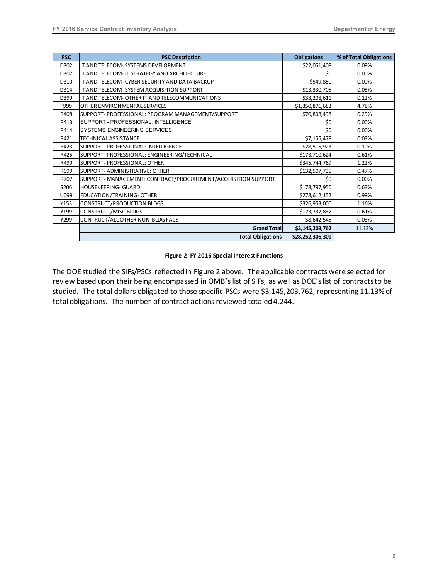| <b>PSC</b> | <b>PSC Description</b>                                        | <b>Obligations</b> | % of Total Obligations |
|------------|---------------------------------------------------------------|--------------------|------------------------|
| D302       | IT AND TELECOM- SYSTEMS DEVELOPMENT                           | \$22,051,408       | 0.08%                  |
| D307       | IT AND TELECOM- IT STRATEGY AND ARCHITECTURE                  | \$0                | 0.00%                  |
| D310       | IT AND TELECOM- CYBER SECURITY AND DATA BACKUP                | \$549,850          | 0.00%                  |
| D314       | IT AND TELECOM- SYSTEM ACQUISITION SUPPORT                    | \$13,330,705       | 0.05%                  |
| D399       | IT AND TELECOM- OTHER IT AND TELECOMMUNICATIONS               | \$33,208,611       | 0.12%                  |
| F999       | OTHER ENVIRONMENTAL SERVICES                                  | \$1,350,876,683    | 4.78%                  |
| R408       | SUPPORT- PROFESSIONAL: PROGRAM MANAGEMENT/SUPPORT             | \$70,808,498       | 0.25%                  |
| R413       | SUPPORT - PROFESSIONAL: INTELLIGENCE                          | \$0                | 0.00%                  |
| R414       | <b>SYSTEMS ENGINEERING SERVICES</b>                           | \$0                | 0.00%                  |
| R421       | TECHNICAL ASSISTANCE                                          | \$7,155,478        | 0.03%                  |
| R423       | SUPPORT- PROFESSIONAL: INTELLIGENCE                           | \$28,515,923       | 0.10%                  |
| R425       | SUPPORT- PROFESSIONAL: ENGINEERING/TECHNICAL                  | \$173,710,624      | 0.61%                  |
| R499       | SUPPORT- PROFESSIONAL: OTHER                                  | \$345,744,769      | 1.22%                  |
| R699       | SUPPORT- ADMINISTRATIVE: OTHER                                | \$132,507,735      | 0.47%                  |
| R707       | SUPPORT- MANAGEMENT: CONTRACT/PROCUREMENT/ACQUISITION SUPPORT | \$0                | 0.00%                  |
| S206       | HOUSEKEEPING- GUARD                                           | \$178,797,950      | 0.63%                  |
| U099       | EDUCATION/TRAINING- OTHER                                     | \$278,612,152      | 0.99%                  |
| Y153       | <b>CONSTRUCT/PRODUCTION BLDGS</b>                             | \$326,953,000      | 1.16%                  |
| Y199       | <b>CONSTRUCT/MISC BLDGS</b>                                   | \$173,737,832      | 0.61%                  |
| Y299       | CONTRUCT/ALL OTHER NON-BLDG FACS                              | \$8,642,545        | 0.03%                  |
|            | <b>Grand Total</b>                                            | \$3,145,203,762    | 11.13%                 |
|            | <b>Total Obligations</b>                                      | \$28,252,306,309   |                        |

#### **Figure 2: FY 2016 Special Interest Functions**

The DOE studied the SIFs/PSCs reflected in Figure 2 above. The applicable contracts were selected for review based upon their being encompassed in OMB's list of SIFs, as well as DOE's list of contracts to be studied. The total dollars obligated to those specific PSCs were \$3,145,203,762, representing 11.13% of total obligations. The number of contract actions reviewed totaled 4,244.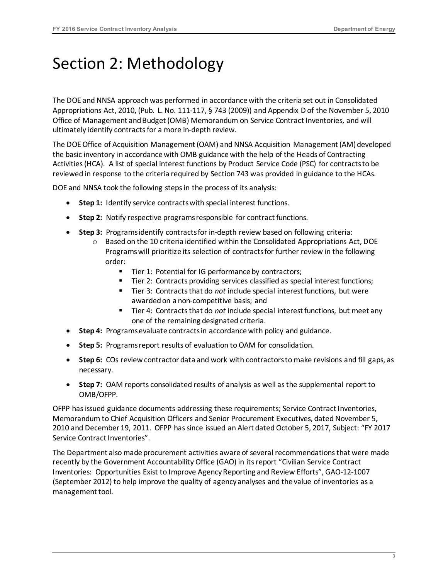### <span id="page-4-0"></span>Section 2: Methodology

The DOE and NNSA approach was performed in accordance with the criteria set out in Consolidated Appropriations Act, 2010, (Pub. L. No. 111-117, § 743 (2009)) and Appendix D of the November 5, 2010 Office of Management and Budget (OMB) Memorandum on Service Contract Inventories, and will ultimately identify contracts for a more in-depth review.

The DOE Office of Acquisition Management (OAM) and NNSA Acquisition Management (AM) developed the basic inventory in accordance with OMB guidance with the help of the Heads of Contracting Activities (HCA). A list of special interest functions by Product Service Code (PSC) for contracts to be reviewed in response to the criteria required by Section 743 was provided in guidance to the HCAs.

DOE and NNSA took the following steps in the process of its analysis:

- **Step 1:** Identify service contracts with special interest functions.
- **Step 2:** Notify respective programs responsible for contract functions.
- **Step 3:** Programs identify contracts for in-depth review based on following criteria:
	- $\circ$  Based on the 10 criteria identified within the Consolidated Appropriations Act, DOE Programs will prioritize its selection of contracts for further review in the following order:
		- Tier 1: Potential for IG performance by contractors;
		- Tier 2: Contracts providing services classified as special interest functions;
		- Tier 3: Contracts that do *not* include special interest functions, but were awarded on a non-competitive basis; and
		- Tier 4: Contracts that do *not* include special interest functions, but meet any one of the remaining designated criteria.
- **Step 4:** Programs evaluate contracts in accordance with policy and guidance.
- **Step 5:** Programs report results of evaluation to OAM for consolidation.
- **Step 6:** COs review contractor data and work with contractors to make revisions and fill gaps, as necessary.
- **Step 7:** OAM reports consolidated results of analysis as well as the supplemental report to OMB/OFPP.

OFPP has issued guidance documents addressing these requirements; Service Contract Inventories, Memorandum to Chief Acquisition Officers and Senior Procurement Executives, dated November 5, 2010 and December 19, 2011. OFPP has since issued an Alert dated October 5, 2017, Subject: "FY 2017 Service Contract Inventories".

The Department also made procurement activities aware of several recommendations that were made recently by the Government Accountability Office (GAO) in its report "Civilian Service Contract Inventories: [Opportunities Exist to Improve Agency Reporting and Review Efforts", GAO-12-1007](http://www.gao.gov/assets/650/648939.pdf)  [\(September 2012\)](http://www.gao.gov/assets/650/648939.pdf) to help improve the quality of agency analyses and the value of inventories as a management tool.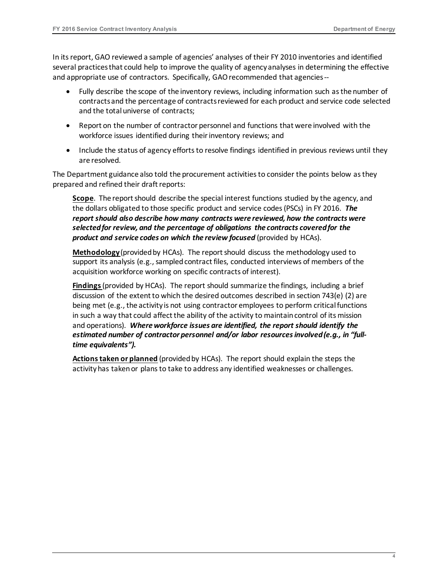In its report, GAO reviewed a sample of agencies' analyses of their FY 2010 inventories and identified several practices that could help to improve the quality of agency analyses in determining the effective and appropriate use of contractors. Specifically, GAO recommended that agencies --

- Fully describe the scope of the inventory reviews, including information such as the number of contracts and the percentage of contracts reviewed for each product and service code selected and the total universe of contracts;
- Report on the number of contractor personnel and functions that were involved with the workforce issues identified during their inventory reviews; and
- Include the status of agency efforts to resolve findings identified in previous reviews until they are resolved.

The Department guidance also told the procurement activities to consider the points below as they prepared and refined their draft reports:

**Scope**. The report should describe the special interest functions studied by the agency, and the dollars obligated to those specific product and service codes (PSCs) in FY 2016. *The report should also describe how many contracts were reviewed, how the contracts were selected for review, and the percentage of obligations the contracts covered for the product and service codes on which the review focused* (provided by HCAs).

**Methodology** (provided by HCAs). The report should discuss the methodology used to support its analysis (e.g., sampled contract files, conducted interviews of members of the acquisition workforce working on specific contracts of interest).

**Findings** (provided by HCAs). The report should summarize the findings, including a brief discussion of the extent to which the desired outcomes described in section 743(e) (2) are being met (e.g., the activity is not using contractor employees to perform critical functions in such a way that could affect the ability of the activity to maintain control of its mission and operations). *Where workforce issues are identified, the report should identify the*  estimated number of contractor personnel and/or labor resources involved (e.g., in "full*time equivalents").*

**Actions taken or planned** (provided by HCAs). The report should explain the steps the activity has taken or plans to take to address any identified weaknesses or challenges.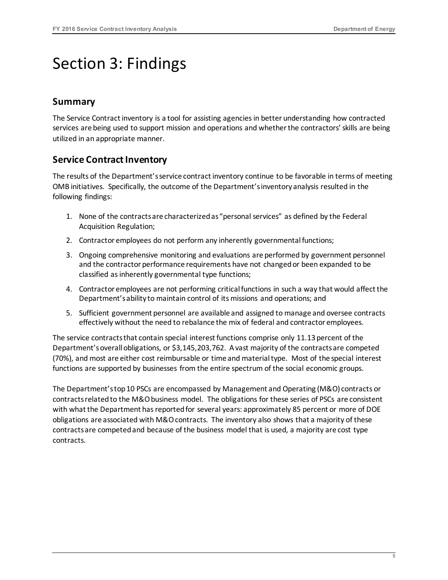### <span id="page-6-0"></span>Section 3: Findings

#### **Summary**

The Service Contract inventory is a tool for assisting agenciesin better understanding how contracted services are being used to support mission and operations and whether the contractors' skills are being utilized in an appropriate manner.

#### **Service Contract Inventory**

The results of the Department's service contract inventory continue to be favorable in terms of meeting OMB initiatives. Specifically, the outcome of the Department's inventory analysis resulted in the following findings:

- 1. None of the contracts are characterized as "personal services" as defined by the Federal Acquisition Regulation;
- 2. Contractor employees do not perform any inherently governmental functions;
- 3. Ongoing comprehensive monitoring and evaluations are performed by government personnel and the contractor performance requirements have not changed or been expanded to be classified as inherently governmental type functions;
- 4. Contractor employees are not performing critical functions in such a way that would affect the Department's ability to maintain control of its missions and operations; and
- 5. Sufficient government personnel are available and assigned to manage and oversee contracts effectively without the need to rebalance the mix of federal and contractor employees.

The service contracts that contain special interest functions comprise only 11.13 percent of the Department's overall obligations, or \$3,145,203,762. A vast majority of the contracts are competed (70%), and most are either cost reimbursable or time and material type. Most of the special interest functions are supported by businesses from the entire spectrum of the social economic groups.

The Department's top 10 PSCs are encompassed by Management and Operating (M&O) contracts or contracts related to the M&O business model. The obligations for these series of PSCs are consistent with what the Department has reported for several years: approximately 85 percent or more of DOE obligations are associated with M&O contracts. The inventory also shows that a majority of these contracts are competed and because of the business model that is used, a majority are cost type contracts.